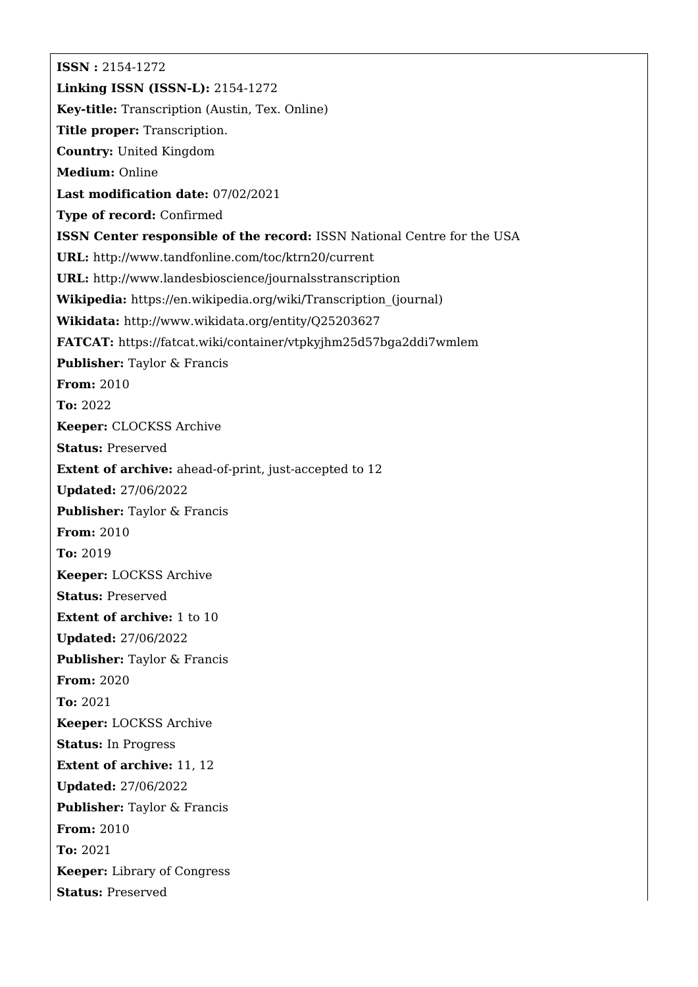**ISSN :** 2154-1272 **Linking ISSN (ISSN-L):** 2154-1272 **Key-title:** Transcription (Austin, Tex. Online) **Title proper:** Transcription. **Country:** United Kingdom **Medium:** Online **Last modification date:** 07/02/2021 **Type of record:** Confirmed **ISSN Center responsible of the record:** ISSN National Centre for the USA **URL:** <http://www.tandfonline.com/toc/ktrn20/current> **URL:** <http://www.landesbioscience/journalsstranscription> **Wikipedia:** [https://en.wikipedia.org/wiki/Transcription\\_\(journal\)](https://en.wikipedia.org/wiki/Transcription_(journal)) **Wikidata:** <http://www.wikidata.org/entity/Q25203627> **FATCAT:** <https://fatcat.wiki/container/vtpkyjhm25d57bga2ddi7wmlem> **Publisher:** Taylor & Francis **From:** 2010 **To:** 2022 **Keeper:** CLOCKSS Archive **Status:** Preserved **Extent of archive:** ahead-of-print, just-accepted to 12 **Updated:** 27/06/2022 **Publisher:** Taylor & Francis **From:** 2010 **To:** 2019 **Keeper:** LOCKSS Archive **Status:** Preserved **Extent of archive:** 1 to 10 **Updated:** 27/06/2022 **Publisher:** Taylor & Francis **From:** 2020 **To:** 2021 **Keeper:** LOCKSS Archive **Status:** In Progress **Extent of archive:** 11, 12 **Updated:** 27/06/2022 **Publisher:** Taylor & Francis **From:** 2010 **To:** 2021 **Keeper:** Library of Congress **Status:** Preserved